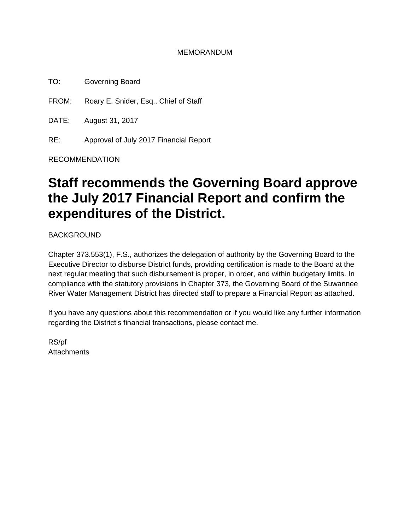#### MEMORANDUM

TO: Governing Board

FROM: Roary E. Snider, Esq., Chief of Staff

DATE: August 31, 2017

RE: Approval of July 2017 Financial Report

RECOMMENDATION

# **Staff recommends the Governing Board approve the July 2017 Financial Report and confirm the expenditures of the District.**

BACKGROUND

Chapter 373.553(1), F.S., authorizes the delegation of authority by the Governing Board to the Executive Director to disburse District funds, providing certification is made to the Board at the next regular meeting that such disbursement is proper, in order, and within budgetary limits. In compliance with the statutory provisions in Chapter 373, the Governing Board of the Suwannee River Water Management District has directed staff to prepare a Financial Report as attached.

If you have any questions about this recommendation or if you would like any further information regarding the District's financial transactions, please contact me.

RS/pf **Attachments**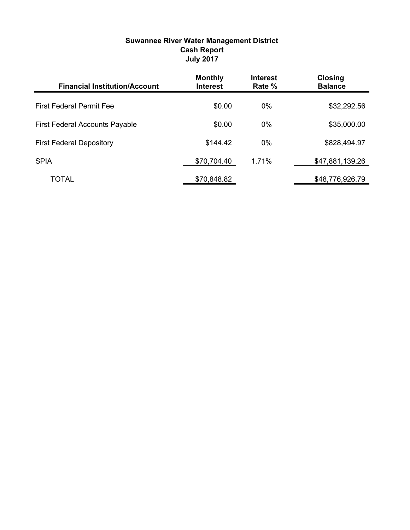| <b>Suwannee River Water Management District</b> |
|-------------------------------------------------|
| <b>Cash Report</b>                              |
| <b>July 2017</b>                                |
|                                                 |

| <b>Financial Institution/Account</b>  | <b>Monthly</b><br><b>Interest</b> | <b>Interest</b><br>Rate % | <b>Closing</b><br><b>Balance</b> |
|---------------------------------------|-----------------------------------|---------------------------|----------------------------------|
| <b>First Federal Permit Fee</b>       | \$0.00                            | $0\%$                     | \$32,292.56                      |
| <b>First Federal Accounts Payable</b> | \$0.00                            | $0\%$                     | \$35,000.00                      |
| <b>First Federal Depository</b>       | \$144.42                          | $0\%$                     | \$828,494.97                     |
| <b>SPIA</b>                           | \$70,704.40                       | 1.71%                     | \$47,881,139.26                  |
| TOTAL                                 | \$70,848.82                       |                           | \$48,776,926.79                  |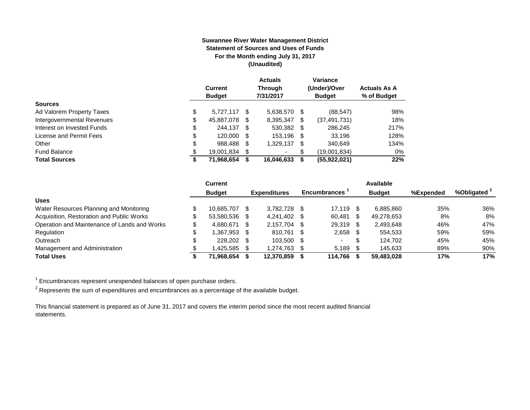#### **Suwannee River Water Management District Statement of Sources and Uses of Funds For the Month ending July 31, 2017 (Unaudited)**

|                            | <b>Current</b><br><b>Budget</b> |   | <b>Actuals</b><br><b>Through</b><br>7/31/2017 |   | Variance<br>(Under)/Over<br><b>Budget</b> | <b>Actuals As A</b><br>% of Budget |
|----------------------------|---------------------------------|---|-----------------------------------------------|---|-------------------------------------------|------------------------------------|
| <b>Sources</b>             |                                 |   |                                               |   |                                           |                                    |
| Ad Valorem Property Taxes  | \$<br>5.727.117 \$              |   | 5,638,570                                     | S | (88, 547)                                 | 98%                                |
| Intergovernmental Revenues | \$<br>45,887,078                | S | 8,395,347                                     | S | (37, 491, 731)                            | 18%                                |
| Interest on Invested Funds | \$<br>244.137 \$                |   | 530.382 \$                                    |   | 286.245                                   | 217%                               |
| License and Permit Fees    | \$<br>120,000 \$                |   | 153,196 \$                                    |   | 33.196                                    | 128%                               |
| Other                      | \$<br>988,488                   | S | 1,329,137                                     | S | 340.649                                   | 134%                               |
| <b>Fund Balance</b>        | \$<br>19,001,834                |   | ۰                                             | S | (19,001,834)                              | 0%                                 |
| <b>Total Sources</b>       | \$<br>71,968,654                |   | 16.046.633                                    | S | (55,922,021)                              | 22%                                |

|                                              | <b>Current</b> |      |                     |      |                     |      | Available     |           |                         |
|----------------------------------------------|----------------|------|---------------------|------|---------------------|------|---------------|-----------|-------------------------|
|                                              | <b>Budget</b>  |      | <b>Expenditures</b> |      | <b>Encumbrances</b> |      | <b>Budget</b> | %Expended | %Obligated <sup>2</sup> |
| <b>Uses</b>                                  |                |      |                     |      |                     |      |               |           |                         |
| Water Resources Planning and Monitoring      | 10.685.707     |      | 3.782.728           | - \$ | 17.119              |      | 6.885.860     | 35%       | 36%                     |
| Acquisition, Restoration and Public Works    | 53.580.536 \$  |      | 4.241.402           | - \$ | 60.481              | - \$ | 49,278,653    | 8%        | 8%                      |
| Operation and Maintenance of Lands and Works | 4.680.671      | - \$ | 2.157.704           | - \$ | 29,319              | -SS  | 2.493.648     | 46%       | 47%                     |
| Regulation                                   | 1.367.953 \$   |      | 810.761 \$          |      | 2,658               | - \$ | 554.533       | 59%       | 59%                     |
| Outreach                                     | 228,202 \$     |      | 103.500             | - S  | $\sim$              | J.   | 124.702       | 45%       | 45%                     |
| Management and Administration                | 1.425.585 \$   |      | 1.274.763           |      | 5.189               |      | 145.633       | 89%       | 90%                     |
| <b>Total Uses</b>                            | 71.968.654     |      | 12.370.859          |      | 114.766             |      | 59.483.028    | 17%       | 17%                     |

 $1$  Encumbrances represent unexpended balances of open purchase orders.

 $^2$  Represents the sum of expenditures and encumbrances as a percentage of the available budget.

This financial statement is prepared as of June 31, 2017 and covers the interim period since the most recent audited financial statements.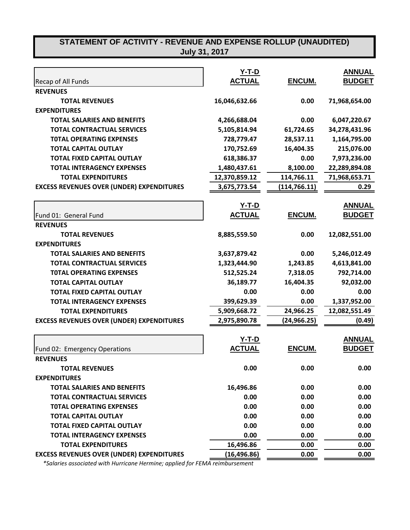|                                                  | $Y-T-D$       |               | <b>ANNUAL</b> |
|--------------------------------------------------|---------------|---------------|---------------|
| Recap of All Funds                               | <b>ACTUAL</b> | ENCUM.        | <b>BUDGET</b> |
| <b>REVENUES</b>                                  |               |               |               |
| <b>TOTAL REVENUES</b>                            | 16,046,632.66 | 0.00          | 71,968,654.00 |
| <b>EXPENDITURES</b>                              |               |               |               |
| <b>TOTAL SALARIES AND BENEFITS</b>               | 4,266,688.04  | 0.00          | 6,047,220.67  |
| <b>TOTAL CONTRACTUAL SERVICES</b>                | 5,105,814.94  | 61,724.65     | 34,278,431.96 |
| <b>TOTAL OPERATING EXPENSES</b>                  | 728,779.47    | 28,537.11     | 1,164,795.00  |
| <b>TOTAL CAPITAL OUTLAY</b>                      | 170,752.69    | 16,404.35     | 215,076.00    |
| <b>TOTAL FIXED CAPITAL OUTLAY</b>                | 618,386.37    | 0.00          | 7,973,236.00  |
| <b>TOTAL INTERAGENCY EXPENSES</b>                | 1,480,437.61  | 8,100.00      | 22,289,894.08 |
| <b>TOTAL EXPENDITURES</b>                        | 12,370,859.12 | 114,766.11    | 71,968,653.71 |
| <b>EXCESS REVENUES OVER (UNDER) EXPENDITURES</b> | 3,675,773.54  | (114, 766.11) | 0.29          |
|                                                  |               |               |               |
|                                                  | <u>Y-T-D</u>  |               | <b>ANNUAL</b> |
| Fund 01: General Fund                            | <b>ACTUAL</b> | ENCUM.        | <b>BUDGET</b> |
| <b>REVENUES</b>                                  |               |               |               |
| <b>TOTAL REVENUES</b>                            | 8,885,559.50  | 0.00          | 12,082,551.00 |
| <b>EXPENDITURES</b>                              |               |               |               |
| <b>TOTAL SALARIES AND BENEFITS</b>               | 3,637,879.42  | 0.00          | 5,246,012.49  |
| <b>TOTAL CONTRACTUAL SERVICES</b>                | 1,323,444.90  | 1,243.85      | 4,613,841.00  |
| <b>TOTAL OPERATING EXPENSES</b>                  | 512,525.24    | 7,318.05      | 792,714.00    |
| <b>TOTAL CAPITAL OUTLAY</b>                      | 36,189.77     | 16,404.35     | 92,032.00     |
| <b>TOTAL FIXED CAPITAL OUTLAY</b>                | 0.00          | 0.00          | 0.00          |
| <b>TOTAL INTERAGENCY EXPENSES</b>                | 399,629.39    | 0.00          | 1,337,952.00  |
| <b>TOTAL EXPENDITURES</b>                        | 5,909,668.72  | 24,966.25     | 12,082,551.49 |
| <b>EXCESS REVENUES OVER (UNDER) EXPENDITURES</b> | 2,975,890.78  | (24, 966.25)  | (0.49)        |
|                                                  |               |               |               |
|                                                  | $Y-T-D$       |               | <b>ANNUAL</b> |
| Fund 02: Emergency Operations                    | <b>ACTUAL</b> | ENCUM.        | <b>BUDGET</b> |
| <b>REVENUES</b>                                  |               |               |               |
| <b>TOTAL REVENUES</b>                            | 0.00          | 0.00          | 0.00          |
| <b>EXPENDITURES</b>                              |               |               |               |
| <b>TOTAL SALARIES AND BENEFITS</b>               | 16,496.86     | 0.00          | 0.00          |
| <b>TOTAL CONTRACTUAL SERVICES</b>                | 0.00          | 0.00          | 0.00          |
| <b>TOTAL OPERATING EXPENSES</b>                  | 0.00          | 0.00          | 0.00          |
| <b>TOTAL CAPITAL OUTLAY</b>                      | 0.00          | 0.00          | 0.00          |
| <b>TOTAL FIXED CAPITAL OUTLAY</b>                | 0.00          | 0.00          | 0.00          |
| <b>TOTAL INTERAGENCY EXPENSES</b>                | 0.00          | 0.00          | 0.00          |
| <b>TOTAL EXPENDITURES</b>                        | 16,496.86     | 0.00          | 0.00          |
| <b>EXCESS REVENUES OVER (UNDER) EXPENDITURES</b> | (16, 496.86)  | 0.00          | 0.00          |

 *\*Salaries associated with Hurricane Hermine; applied for FEMA reimbursement*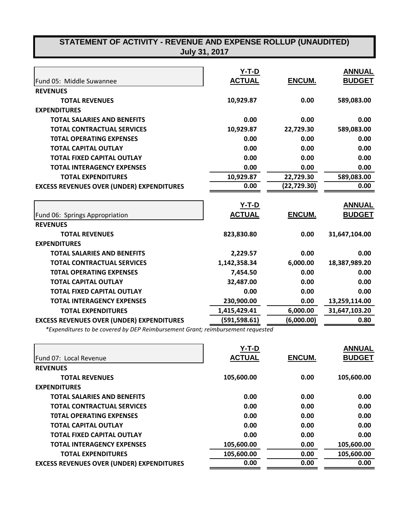|                                                  | $Y-T-D$       |              | <b>ANNUAL</b> |
|--------------------------------------------------|---------------|--------------|---------------|
| Fund 05: Middle Suwannee                         | <b>ACTUAL</b> | ENCUM.       | <b>BUDGET</b> |
| <b>REVENUES</b>                                  |               |              |               |
| <b>TOTAL REVENUES</b>                            | 10,929.87     | 0.00         | 589,083.00    |
| <b>EXPENDITURES</b>                              |               |              |               |
| <b>TOTAL SALARIES AND BENEFITS</b>               | 0.00          | 0.00         | 0.00          |
| <b>TOTAL CONTRACTUAL SERVICES</b>                | 10,929.87     | 22,729.30    | 589,083.00    |
| <b>TOTAL OPERATING EXPENSES</b>                  | 0.00          | 0.00         | 0.00          |
| <b>TOTAL CAPITAL OUTLAY</b>                      | 0.00          | 0.00         | 0.00          |
| <b>TOTAL FIXED CAPITAL OUTLAY</b>                | 0.00          | 0.00         | 0.00          |
| <b>TOTAL INTERAGENCY EXPENSES</b>                | 0.00          | 0.00         | 0.00          |
| <b>TOTAL EXPENDITURES</b>                        | 10,929.87     | 22,729.30    | 589,083.00    |
| <b>EXCESS REVENUES OVER (UNDER) EXPENDITURES</b> | 0.00          | (22, 729.30) | 0.00          |
|                                                  |               |              |               |
|                                                  | <b>Y-T-D</b>  |              | <b>ANNUAL</b> |
| Fund 06: Springs Appropriation                   | <b>ACTUAL</b> | ENCUM.       | <b>BUDGET</b> |
| <b>REVENUES</b>                                  |               |              |               |
| <b>TOTAL REVENUES</b>                            | 823,830.80    | 0.00         | 31,647,104.00 |
| <b>EXPENDITURES</b>                              |               |              |               |
| <b>TOTAL SALARIES AND BENEFITS</b>               | 2,229.57      | 0.00         | 0.00          |
| <b>TOTAL CONTRACTUAL SERVICES</b>                | 1,142,358.34  | 6,000.00     | 18,387,989.20 |
| <b>TOTAL OPERATING EXPENSES</b>                  | 7,454.50      | 0.00         | 0.00          |
| <b>TOTAL CAPITAL OUTLAY</b>                      | 32,487.00     | 0.00         | 0.00          |
| <b>TOTAL FIXED CAPITAL OUTLAY</b>                | 0.00          | 0.00         | 0.00          |
| <b>TOTAL INTERAGENCY EXPENSES</b>                | 230,900.00    | 0.00         | 13,259,114.00 |
| <b>TOTAL EXPENDITURES</b>                        | 1,415,429.41  | 6,000.00     | 31,647,103.20 |
| <b>EXCESS REVENUES OVER (UNDER) EXPENDITURES</b> | (591,598.61)  | (6,000.00)   | 0.80          |

*\*Expenditures to be covered by DEP Reimbursement Grant; reimbursement requested*

|                                                  | $Y-T-D$       |               | <b>ANNUAL</b> |
|--------------------------------------------------|---------------|---------------|---------------|
| Fund 07: Local Revenue                           | <b>ACTUAL</b> | <b>ENCUM.</b> | <b>BUDGET</b> |
| <b>REVENUES</b>                                  |               |               |               |
| <b>TOTAL REVENUES</b>                            | 105,600.00    | 0.00          | 105,600.00    |
| <b>EXPENDITURES</b>                              |               |               |               |
| <b>TOTAL SALARIES AND BENEFITS</b>               | 0.00          | 0.00          | 0.00          |
| <b>TOTAL CONTRACTUAL SERVICES</b>                | 0.00          | 0.00          | 0.00          |
| <b>TOTAL OPERATING EXPENSES</b>                  | 0.00          | 0.00          | 0.00          |
| <b>TOTAL CAPITAL OUTLAY</b>                      | 0.00          | 0.00          | 0.00          |
| <b>TOTAL FIXED CAPITAL OUTLAY</b>                | 0.00          | 0.00          | 0.00          |
| <b>TOTAL INTERAGENCY EXPENSES</b>                | 105,600.00    | 0.00          | 105,600.00    |
| <b>TOTAL EXPENDITURES</b>                        | 105,600.00    | 0.00          | 105,600.00    |
| <b>EXCESS REVENUES OVER (UNDER) EXPENDITURES</b> | 0.00          | 0.00          | 0.00          |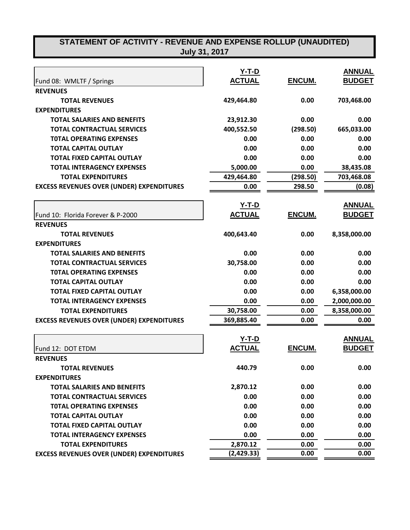|                                                  | $Y-T-D$       |               | <b>ANNUAL</b> |
|--------------------------------------------------|---------------|---------------|---------------|
| Fund 08: WMLTF / Springs                         | <b>ACTUAL</b> | ENCUM.        | <b>BUDGET</b> |
| <b>REVENUES</b>                                  |               |               |               |
| <b>TOTAL REVENUES</b>                            | 429,464.80    | 0.00          | 703,468.00    |
| <b>EXPENDITURES</b>                              |               |               |               |
| <b>TOTAL SALARIES AND BENEFITS</b>               | 23,912.30     | 0.00          | 0.00          |
| <b>TOTAL CONTRACTUAL SERVICES</b>                | 400,552.50    | (298.50)      | 665,033.00    |
| <b>TOTAL OPERATING EXPENSES</b>                  | 0.00          | 0.00          | 0.00          |
| <b>TOTAL CAPITAL OUTLAY</b>                      | 0.00          | 0.00          | 0.00          |
| <b>TOTAL FIXED CAPITAL OUTLAY</b>                | 0.00          | 0.00          | 0.00          |
| <b>TOTAL INTERAGENCY EXPENSES</b>                | 5,000.00      | 0.00          | 38,435.08     |
| <b>TOTAL EXPENDITURES</b>                        | 429,464.80    | (298.50)      | 703,468.08    |
| <b>EXCESS REVENUES OVER (UNDER) EXPENDITURES</b> | 0.00          | 298.50        | (0.08)        |
|                                                  | $Y-T-D$       |               | <b>ANNUAL</b> |
| Fund 10: Florida Forever & P-2000                | <b>ACTUAL</b> | <b>ENCUM.</b> | <b>BUDGET</b> |
| <b>REVENUES</b>                                  |               |               |               |
| <b>TOTAL REVENUES</b>                            | 400,643.40    | 0.00          | 8,358,000.00  |
| <b>EXPENDITURES</b>                              |               |               |               |
| <b>TOTAL SALARIES AND BENEFITS</b>               | 0.00          | 0.00          | 0.00          |
| <b>TOTAL CONTRACTUAL SERVICES</b>                | 30,758.00     | 0.00          | 0.00          |
| <b>TOTAL OPERATING EXPENSES</b>                  | 0.00          | 0.00          | 0.00          |
| <b>TOTAL CAPITAL OUTLAY</b>                      | 0.00          | 0.00          | 0.00          |
| <b>TOTAL FIXED CAPITAL OUTLAY</b>                | 0.00          | 0.00          | 6,358,000.00  |
| <b>TOTAL INTERAGENCY EXPENSES</b>                | 0.00          | 0.00          | 2,000,000.00  |
| <b>TOTAL EXPENDITURES</b>                        | 30,758.00     | 0.00          | 8,358,000.00  |
| <b>EXCESS REVENUES OVER (UNDER) EXPENDITURES</b> | 369,885.40    | 0.00          | 0.00          |
|                                                  | $Y-T-D$       |               | <b>ANNUAL</b> |
| Fund 12: DOT ETDM                                | <b>ACTUAL</b> | <b>ENCUM.</b> | <b>BUDGET</b> |
| <b>REVENUES</b>                                  |               |               |               |
| <b>TOTAL REVENUES</b>                            | 440.79        | 0.00          | 0.00          |
|                                                  |               |               |               |
| <b>EXPENDITURES</b>                              |               |               |               |
| <b>TOTAL SALARIES AND BENEFITS</b>               | 2,870.12      | 0.00          | 0.00          |
| <b>TOTAL CONTRACTUAL SERVICES</b>                | 0.00          | 0.00          | 0.00          |
| <b>TOTAL OPERATING EXPENSES</b>                  | 0.00          | 0.00          | 0.00          |
| <b>TOTAL CAPITAL OUTLAY</b>                      | 0.00          | 0.00          | 0.00          |
| <b>TOTAL FIXED CAPITAL OUTLAY</b>                | 0.00          | 0.00          | 0.00          |
| <b>TOTAL INTERAGENCY EXPENSES</b>                | 0.00          | 0.00          | 0.00          |
| <b>TOTAL EXPENDITURES</b>                        | 2,870.12      | 0.00          | 0.00          |
| <b>EXCESS REVENUES OVER (UNDER) EXPENDITURES</b> | (2,429.33)    | 0.00          | 0.00          |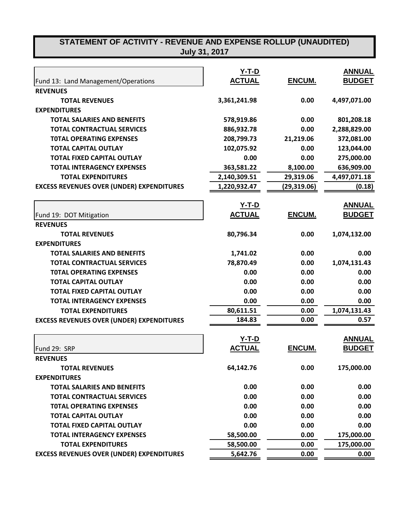| Fund 13: Land Management/Operations              | $Y-T-D$<br><b>ACTUAL</b> | ENCUM.       | <b>ANNUAL</b><br><b>BUDGET</b> |
|--------------------------------------------------|--------------------------|--------------|--------------------------------|
| <b>REVENUES</b>                                  |                          |              |                                |
| <b>TOTAL REVENUES</b>                            | 3,361,241.98             | 0.00         | 4,497,071.00                   |
| <b>EXPENDITURES</b>                              |                          |              |                                |
| <b>TOTAL SALARIES AND BENEFITS</b>               | 578,919.86               | 0.00         | 801,208.18                     |
| <b>TOTAL CONTRACTUAL SERVICES</b>                | 886,932.78               | 0.00         | 2,288,829.00                   |
| <b>TOTAL OPERATING EXPENSES</b>                  | 208,799.73               | 21,219.06    | 372,081.00                     |
| <b>TOTAL CAPITAL OUTLAY</b>                      | 102,075.92               | 0.00         | 123,044.00                     |
| <b>TOTAL FIXED CAPITAL OUTLAY</b>                | 0.00                     | 0.00         | 275,000.00                     |
| <b>TOTAL INTERAGENCY EXPENSES</b>                | 363,581.22               | 8,100.00     | 636,909.00                     |
|                                                  |                          |              |                                |
| <b>TOTAL EXPENDITURES</b>                        | 2,140,309.51             | 29,319.06    | 4,497,071.18                   |
| <b>EXCESS REVENUES OVER (UNDER) EXPENDITURES</b> | 1,220,932.47             | (29, 319.06) | (0.18)                         |
|                                                  | $Y-T-D$                  |              | <b>ANNUAL</b>                  |
| Fund 19: DOT Mitigation                          | <b>ACTUAL</b>            | ENCUM.       | <b>BUDGET</b>                  |
| <b>REVENUES</b>                                  |                          |              |                                |
| <b>TOTAL REVENUES</b>                            | 80,796.34                | 0.00         | 1,074,132.00                   |
| <b>EXPENDITURES</b>                              |                          |              |                                |
| <b>TOTAL SALARIES AND BENEFITS</b>               | 1,741.02                 | 0.00         | 0.00                           |
| <b>TOTAL CONTRACTUAL SERVICES</b>                | 78,870.49                | 0.00         | 1,074,131.43                   |
| <b>TOTAL OPERATING EXPENSES</b>                  | 0.00                     | 0.00         | 0.00                           |
| <b>TOTAL CAPITAL OUTLAY</b>                      | 0.00                     | 0.00         | 0.00                           |
| <b>TOTAL FIXED CAPITAL OUTLAY</b>                | 0.00                     | 0.00         | 0.00                           |
| <b>TOTAL INTERAGENCY EXPENSES</b>                | 0.00                     | 0.00         | 0.00                           |
| <b>TOTAL EXPENDITURES</b>                        | 80,611.51                | 0.00         | 1,074,131.43                   |
| <b>EXCESS REVENUES OVER (UNDER) EXPENDITURES</b> | 184.83                   | 0.00         | 0.57                           |
|                                                  |                          |              |                                |
|                                                  | <u>Y-T-D</u>             |              | <b>ANNUAL</b>                  |
| Fund 29: SRP                                     | <b>ACTUAL</b>            | ENCUM.       | <b>BUDGET</b>                  |
| <b>REVENUES</b>                                  |                          |              |                                |
| <b>TOTAL REVENUES</b>                            | 64,142.76                | 0.00         | 175,000.00                     |
| <b>EXPENDITURES</b>                              |                          |              |                                |
| <b>TOTAL SALARIES AND BENEFITS</b>               | 0.00                     | 0.00         | 0.00                           |
| <b>TOTAL CONTRACTUAL SERVICES</b>                | 0.00                     | 0.00         | 0.00                           |
| <b>TOTAL OPERATING EXPENSES</b>                  | 0.00                     | 0.00         | 0.00                           |
| <b>TOTAL CAPITAL OUTLAY</b>                      | 0.00                     | 0.00         | 0.00                           |
| <b>TOTAL FIXED CAPITAL OUTLAY</b>                | 0.00                     | 0.00         | 0.00                           |
| <b>TOTAL INTERAGENCY EXPENSES</b>                | 58,500.00                | 0.00         | 175,000.00                     |
| <b>TOTAL EXPENDITURES</b>                        | 58,500.00                | 0.00         | 175,000.00                     |
| <b>EXCESS REVENUES OVER (UNDER) EXPENDITURES</b> | 5,642.76                 | 0.00         | 0.00                           |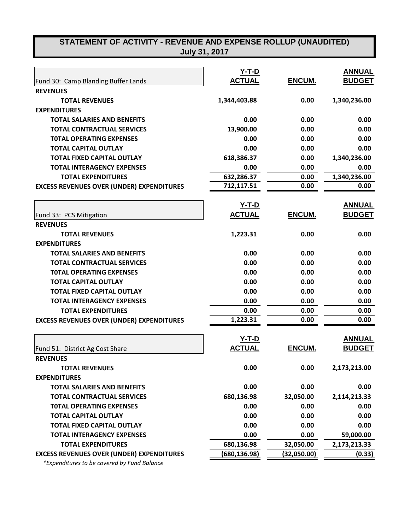|                                                  | $Y-T-D$       |               | <b>ANNUAL</b> |
|--------------------------------------------------|---------------|---------------|---------------|
| Fund 30: Camp Blanding Buffer Lands              | <b>ACTUAL</b> | ENCUM.        | <b>BUDGET</b> |
| <b>REVENUES</b>                                  |               |               |               |
| <b>TOTAL REVENUES</b>                            | 1,344,403.88  | 0.00          | 1,340,236.00  |
| <b>EXPENDITURES</b>                              |               |               |               |
| <b>TOTAL SALARIES AND BENEFITS</b>               | 0.00          | 0.00          | 0.00          |
| <b>TOTAL CONTRACTUAL SERVICES</b>                | 13,900.00     | 0.00          | 0.00          |
| <b>TOTAL OPERATING EXPENSES</b>                  | 0.00          | 0.00          | 0.00          |
| <b>TOTAL CAPITAL OUTLAY</b>                      | 0.00          | 0.00          | 0.00          |
| <b>TOTAL FIXED CAPITAL OUTLAY</b>                | 618,386.37    | 0.00          | 1,340,236.00  |
| <b>TOTAL INTERAGENCY EXPENSES</b>                | 0.00          | 0.00          | 0.00          |
| <b>TOTAL EXPENDITURES</b>                        | 632,286.37    | 0.00          | 1,340,236.00  |
| <b>EXCESS REVENUES OVER (UNDER) EXPENDITURES</b> | 712,117.51    | 0.00          | 0.00          |
|                                                  | $Y-T-D$       |               | <b>ANNUAL</b> |
| Fund 33: PCS Mitigation                          | <b>ACTUAL</b> | <b>ENCUM.</b> | <b>BUDGET</b> |
| <b>REVENUES</b>                                  |               |               |               |
| <b>TOTAL REVENUES</b>                            | 1,223.31      | 0.00          | 0.00          |
| <b>EXPENDITURES</b>                              |               |               |               |
| <b>TOTAL SALARIES AND BENEFITS</b>               | 0.00          | 0.00          | 0.00          |
| <b>TOTAL CONTRACTUAL SERVICES</b>                | 0.00          | 0.00          | 0.00          |
| <b>TOTAL OPERATING EXPENSES</b>                  | 0.00          | 0.00          | 0.00          |
| <b>TOTAL CAPITAL OUTLAY</b>                      | 0.00          | 0.00          | 0.00          |
| <b>TOTAL FIXED CAPITAL OUTLAY</b>                | 0.00          | 0.00          | 0.00          |
| <b>TOTAL INTERAGENCY EXPENSES</b>                | 0.00          | 0.00          | 0.00          |
| <b>TOTAL EXPENDITURES</b>                        | 0.00          | 0.00          | 0.00          |
| <b>EXCESS REVENUES OVER (UNDER) EXPENDITURES</b> | 1,223.31      | 0.00          | 0.00          |
|                                                  |               |               |               |
|                                                  | <u>Y-T-D</u>  |               | <b>ANNUAL</b> |
| Fund 51: District Ag Cost Share                  | <b>ACTUAL</b> | <b>ENCUM.</b> | <b>BUDGET</b> |
| <b>REVENUES</b>                                  |               |               |               |
| <b>TOTAL REVENUES</b>                            | 0.00          | 0.00          | 2,173,213.00  |
| <b>EXPENDITURES</b>                              |               |               |               |
| <b>TOTAL SALARIES AND BENEFITS</b>               | 0.00          | 0.00          | 0.00          |
| <b>TOTAL CONTRACTUAL SERVICES</b>                | 680,136.98    | 32,050.00     | 2,114,213.33  |
| <b>TOTAL OPERATING EXPENSES</b>                  | 0.00          | 0.00          | 0.00          |
| <b>TOTAL CAPITAL OUTLAY</b>                      | 0.00          | 0.00          | 0.00          |
| <b>TOTAL FIXED CAPITAL OUTLAY</b>                | 0.00          | 0.00          | 0.00          |
| <b>TOTAL INTERAGENCY EXPENSES</b>                | 0.00          | 0.00          | 59,000.00     |
| <b>TOTAL EXPENDITURES</b>                        | 680,136.98    | 32,050.00     | 2,173,213.33  |
| <b>EXCESS REVENUES OVER (UNDER) EXPENDITURES</b> | (680, 136.98) | (32,050.00)   | (0.33)        |

 *\*Expenditures to be covered by Fund Balance*